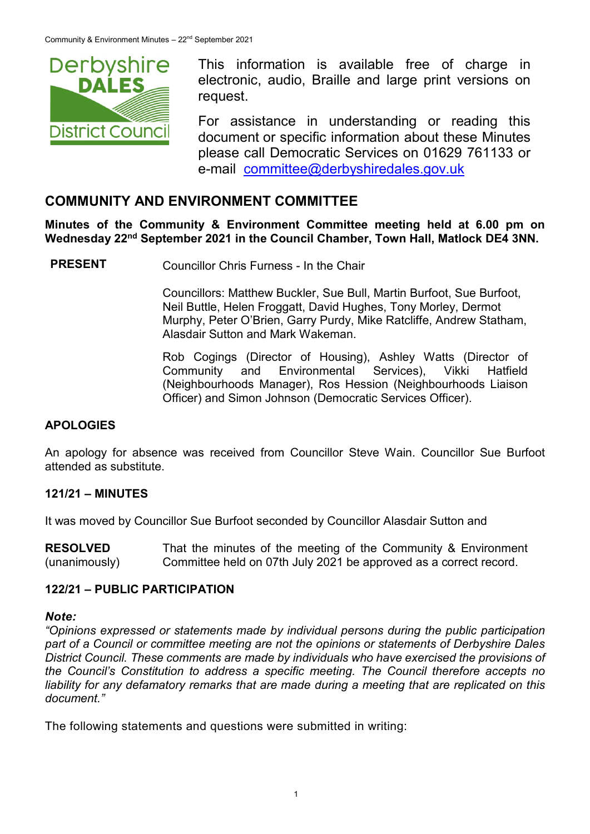

This information is available free of charge in electronic, audio, Braille and large print versions on request.

For assistance in understanding or reading this document or specific information about these Minutes please call Democratic Services on 01629 761133 or e-mail [committee@derbyshiredales.gov.uk](mailto:brian.evans@derbyshiredales.gov.uk)

### **COMMUNITY AND ENVIRONMENT COMMITTEE**

**Minutes of the Community & Environment Committee meeting held at 6.00 pm on Wednesday 22nd September 2021 in the Council Chamber, Town Hall, Matlock DE4 3NN.**

**PRESENT** Councillor Chris Furness - In the Chair

Councillors: Matthew Buckler, Sue Bull, Martin Burfoot, Sue Burfoot, Neil Buttle, Helen Froggatt, David Hughes, Tony Morley, Dermot Murphy, Peter O'Brien, Garry Purdy, Mike Ratcliffe, Andrew Statham, Alasdair Sutton and Mark Wakeman.

Rob Cogings (Director of Housing), Ashley Watts (Director of Community and Environmental Services), Vikki Hatfield (Neighbourhoods Manager), Ros Hession (Neighbourhoods Liaison Officer) and Simon Johnson (Democratic Services Officer).

#### **APOLOGIES**

An apology for absence was received from Councillor Steve Wain. Councillor Sue Burfoot attended as substitute.

#### **121/21 – MINUTES**

It was moved by Councillor Sue Burfoot seconded by Councillor Alasdair Sutton and

**RESOLVED** (unanimously) That the minutes of the meeting of the Community & Environment Committee held on 07th July 2021 be approved as a correct record.

#### **122/21 – PUBLIC PARTICIPATION**

#### *Note:*

*"Opinions expressed or statements made by individual persons during the public participation part of a Council or committee meeting are not the opinions or statements of Derbyshire Dales District Council. These comments are made by individuals who have exercised the provisions of the Council's Constitution to address a specific meeting. The Council therefore accepts no liability for any defamatory remarks that are made during a meeting that are replicated on this document."*

The following statements and questions were submitted in writing: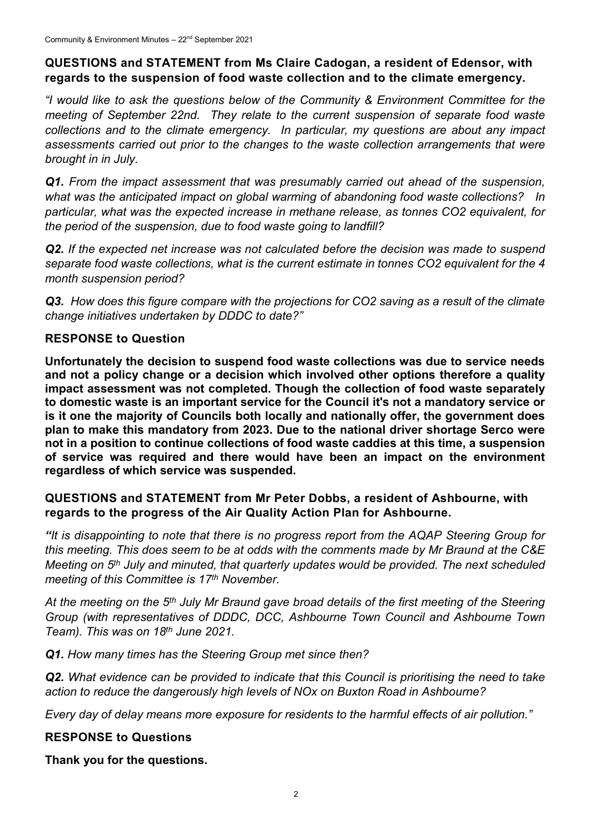### **QUESTIONS and STATEMENT from Ms Claire Cadogan, a resident of Edensor, with regards to the suspension of food waste collection and to the climate emergency.**

*"I would like to ask the questions below of the Community & Environment Committee for the meeting of September 22nd. They relate to the current suspension of separate food waste collections and to the climate emergency. In particular, my questions are about any impact assessments carried out prior to the changes to the waste collection arrangements that were brought in in July.* 

*Q1. From the impact assessment that was presumably carried out ahead of the suspension, what was the anticipated impact on global warming of abandoning food waste collections? In particular, what was the expected increase in methane release, as tonnes CO2 equivalent, for the period of the suspension, due to food waste going to landfill?*

*Q2. If the expected net increase was not calculated before the decision was made to suspend separate food waste collections, what is the current estimate in tonnes CO2 equivalent for the 4 month suspension period?*

*Q3. How does this figure compare with the projections for CO2 saving as a result of the climate change initiatives undertaken by DDDC to date?"*

# **RESPONSE to Question**

**Unfortunately the decision to suspend food waste collections was due to service needs and not a policy change or a decision which involved other options therefore a quality impact assessment was not completed. Though the collection of food waste separately to domestic waste is an important service for the Council it's not a mandatory service or is it one the majority of Councils both locally and nationally offer, the government does plan to make this mandatory from 2023. Due to the national driver shortage Serco were not in a position to continue collections of food waste caddies at this time, a suspension of service was required and there would have been an impact on the environment regardless of which service was suspended.**

#### **QUESTIONS and STATEMENT from Mr Peter Dobbs, a resident of Ashbourne, with regards to the progress of the Air Quality Action Plan for Ashbourne.**

*"It is disappointing to note that there is no progress report from the AQAP Steering Group for this meeting. This does seem to be at odds with the comments made by Mr Braund at the C&E Meeting on 5th July and minuted, that quarterly updates would be provided. The next scheduled meeting of this Committee is 17th November.* 

*At the meeting on the 5th July Mr Braund gave broad details of the first meeting of the Steering Group (with representatives of DDDC, DCC, Ashbourne Town Council and Ashbourne Town Team). This was on 18th June 2021.*

*Q1. How many times has the Steering Group met since then?* 

*Q2. What evidence can be provided to indicate that this Council is prioritising the need to take action to reduce the dangerously high levels of NOx on Buxton Road in Ashbourne?*

*Every day of delay means more exposure for residents to the harmful effects of air pollution."*

# **RESPONSE to Questions**

**Thank you for the questions.**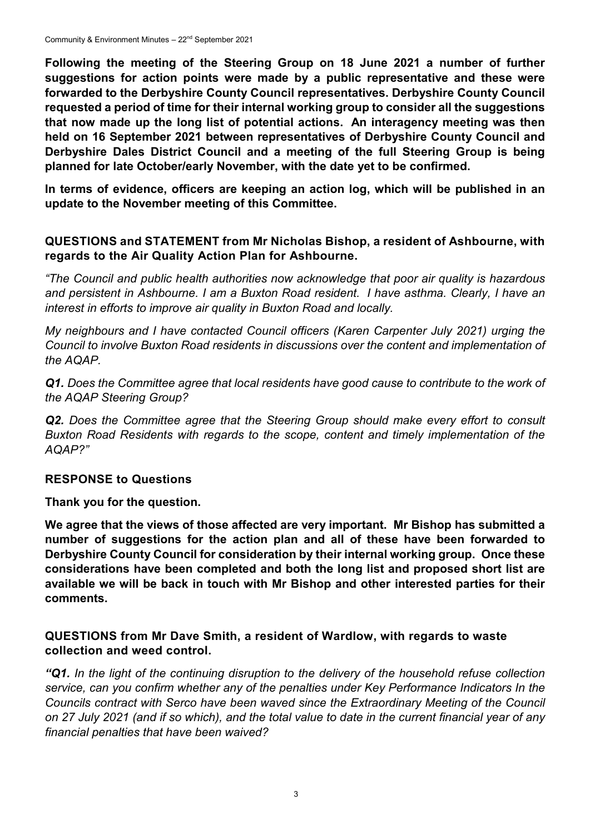**Following the meeting of the Steering Group on 18 June 2021 a number of further suggestions for action points were made by a public representative and these were forwarded to the Derbyshire County Council representatives. Derbyshire County Council requested a period of time for their internal working group to consider all the suggestions that now made up the long list of potential actions. An interagency meeting was then held on 16 September 2021 between representatives of Derbyshire County Council and Derbyshire Dales District Council and a meeting of the full Steering Group is being planned for late October/early November, with the date yet to be confirmed.**

**In terms of evidence, officers are keeping an action log, which will be published in an update to the November meeting of this Committee.**

#### **QUESTIONS and STATEMENT from Mr Nicholas Bishop, a resident of Ashbourne, with regards to the Air Quality Action Plan for Ashbourne.**

*"The Council and public health authorities now acknowledge that poor air quality is hazardous and persistent in Ashbourne. I am a Buxton Road resident. I have asthma. Clearly, I have an interest in efforts to improve air quality in Buxton Road and locally.*

*My neighbours and I have contacted Council officers (Karen Carpenter July 2021) urging the Council to involve Buxton Road residents in discussions over the content and implementation of the AQAP.*

*Q1. Does the Committee agree that local residents have good cause to contribute to the work of the AQAP Steering Group?* 

**Q2.** Does the Committee agree that the Steering Group should make every effort to consult *Buxton Road Residents with regards to the scope, content and timely implementation of the AQAP?"*

#### **RESPONSE to Questions**

**Thank you for the question.**

**We agree that the views of those affected are very important. Mr Bishop has submitted a number of suggestions for the action plan and all of these have been forwarded to Derbyshire County Council for consideration by their internal working group. Once these considerations have been completed and both the long list and proposed short list are available we will be back in touch with Mr Bishop and other interested parties for their comments.**

#### **QUESTIONS from Mr Dave Smith, a resident of Wardlow, with regards to waste collection and weed control.**

*"Q1. In the light of the continuing disruption to the delivery of the household refuse collection service, can you confirm whether any of the penalties under Key Performance Indicators In the Councils contract with Serco have been waved since the Extraordinary Meeting of the Council on 27 July 2021 (and if so which), and the total value to date in the current financial year of any financial penalties that have been waived?*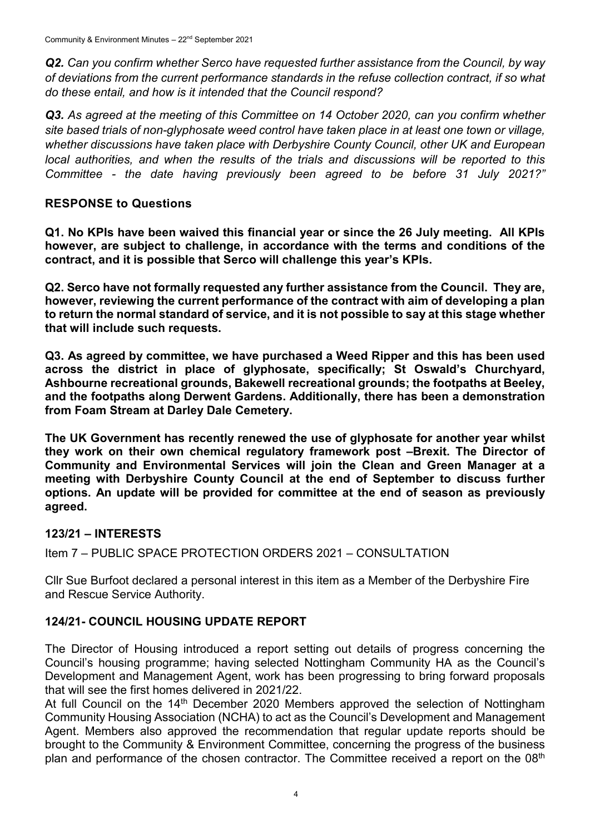*Q2. Can you confirm whether Serco have requested further assistance from the Council, by way of deviations from the current performance standards in the refuse collection contract, if so what do these entail, and how is it intended that the Council respond?* 

*Q3. As agreed at the meeting of this Committee on 14 October 2020, can you confirm whether site based trials of non-glyphosate weed control have taken place in at least one town or village, whether discussions have taken place with Derbyshire County Council, other UK and European local authorities, and when the results of the trials and discussions will be reported to this Committee - the date having previously been agreed to be before 31 July 2021?"*

#### **RESPONSE to Questions**

**Q1. No KPIs have been waived this financial year or since the 26 July meeting. All KPIs however, are subject to challenge, in accordance with the terms and conditions of the contract, and it is possible that Serco will challenge this year's KPIs.** 

**Q2. Serco have not formally requested any further assistance from the Council. They are, however, reviewing the current performance of the contract with aim of developing a plan to return the normal standard of service, and it is not possible to say at this stage whether that will include such requests.**

**Q3. As agreed by committee, we have purchased a Weed Ripper and this has been used across the district in place of glyphosate, specifically; St Oswald's Churchyard, Ashbourne recreational grounds, Bakewell recreational grounds; the footpaths at Beeley, and the footpaths along Derwent Gardens. Additionally, there has been a demonstration from Foam Stream at Darley Dale Cemetery.** 

**The UK Government has recently renewed the use of glyphosate for another year whilst they work on their own chemical regulatory framework post –Brexit. The Director of Community and Environmental Services will join the Clean and Green Manager at a meeting with Derbyshire County Council at the end of September to discuss further options. An update will be provided for committee at the end of season as previously agreed.**

#### **123/21 – INTERESTS**

Item 7 – PUBLIC SPACE PROTECTION ORDERS 2021 – CONSULTATION

Cllr Sue Burfoot declared a personal interest in this item as a Member of the Derbyshire Fire and Rescue Service Authority.

#### **124/21- COUNCIL HOUSING UPDATE REPORT**

The Director of Housing introduced a report setting out details of progress concerning the Council's housing programme; having selected Nottingham Community HA as the Council's Development and Management Agent, work has been progressing to bring forward proposals that will see the first homes delivered in 2021/22.

At full Council on the 14<sup>th</sup> December 2020 Members approved the selection of Nottingham Community Housing Association (NCHA) to act as the Council's Development and Management Agent. Members also approved the recommendation that regular update reports should be brought to the Community & Environment Committee, concerning the progress of the business plan and performance of the chosen contractor. The Committee received a report on the 08<sup>th</sup>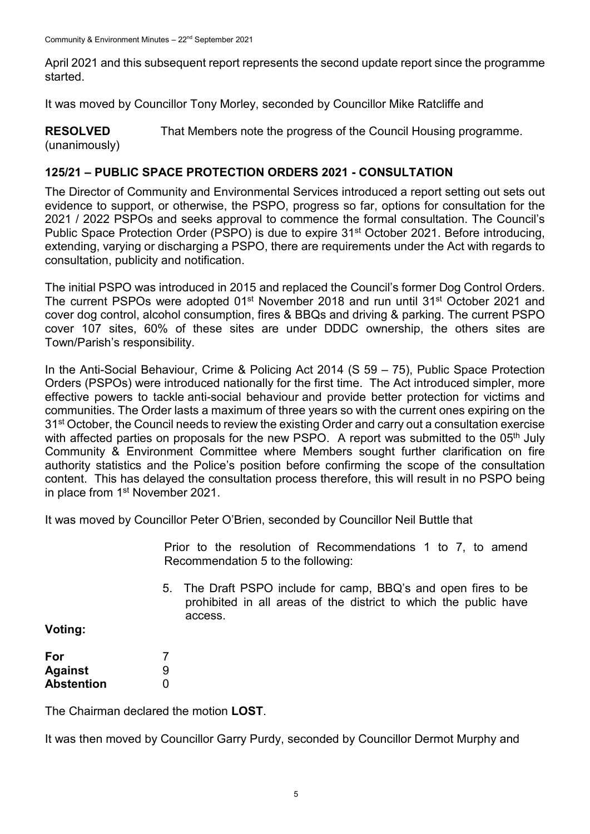April 2021 and this subsequent report represents the second update report since the programme started.

It was moved by Councillor Tony Morley, seconded by Councillor Mike Ratcliffe and

**RESOLVED** (unanimously) That Members note the progress of the Council Housing programme.

#### **125/21 – PUBLIC SPACE PROTECTION ORDERS 2021 - CONSULTATION**

The Director of Community and Environmental Services introduced a report setting out sets out evidence to support, or otherwise, the PSPO, progress so far, options for consultation for the 2021 / 2022 PSPOs and seeks approval to commence the formal consultation. The Council's Public Space Protection Order (PSPO) is due to expire 31<sup>st</sup> October 2021. Before introducing, extending, varying or discharging a PSPO, there are requirements under the Act with regards to consultation, publicity and notification.

The initial PSPO was introduced in 2015 and replaced the Council's former Dog Control Orders. The current PSPOs were adopted 01<sup>st</sup> November 2018 and run until 31<sup>st</sup> October 2021 and cover dog control, alcohol consumption, fires & BBQs and driving & parking. The current PSPO cover 107 sites, 60% of these sites are under DDDC ownership, the others sites are Town/Parish's responsibility.

In the Anti-Social Behaviour, Crime & Policing Act 2014 (S 59 – 75), Public Space Protection Orders (PSPOs) were introduced nationally for the first time. The Act introduced simpler, more effective powers to tackle anti-social behaviour and provide better protection for victims and communities. The Order lasts a maximum of three years so with the current ones expiring on the 31<sup>st</sup> October, the Council needs to review the existing Order and carry out a consultation exercise with affected parties on proposals for the new PSPO. A report was submitted to the 05<sup>th</sup> July Community & Environment Committee where Members sought further clarification on fire authority statistics and the Police's position before confirming the scope of the consultation content. This has delayed the consultation process therefore, this will result in no PSPO being in place from 1<sup>st</sup> November 2021.

It was moved by Councillor Peter O'Brien, seconded by Councillor Neil Buttle that

Prior to the resolution of Recommendations 1 to 7, to amend Recommendation 5 to the following:

5. The Draft PSPO include for camp, BBQ's and open fires to be prohibited in all areas of the district to which the public have access.

**Voting:**

| For        |   |
|------------|---|
| Against    | 9 |
| Abstention | O |

The Chairman declared the motion **LOST**.

It was then moved by Councillor Garry Purdy, seconded by Councillor Dermot Murphy and